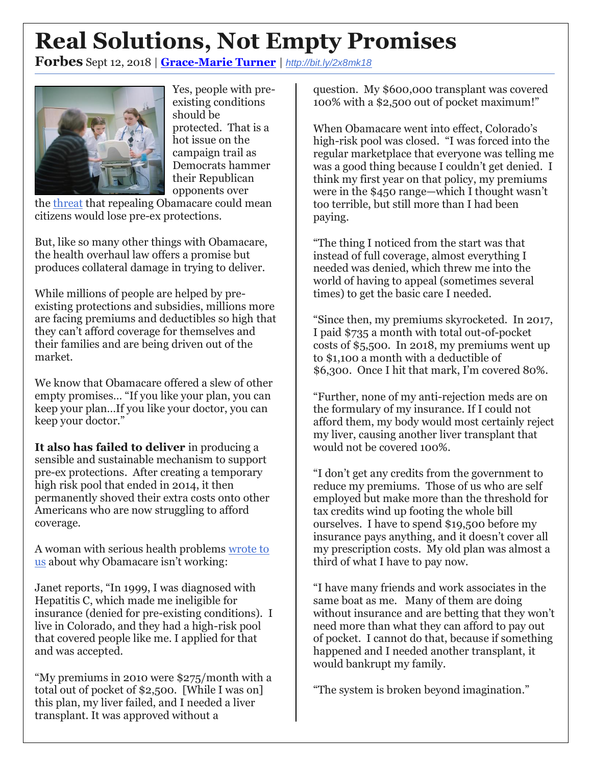## **Real Solutions, Not Empty Promises**

**Forbes** Sept 12, 2018 | **[Grace-Marie Turner](https://www.forbes.com/sites/gracemarieturner/)** | *<http://bit.ly/2x8mk18>*



Yes, people with preexisting conditions should be protected. That is a hot issue on the campaign trail as Democrats hammer their Republican opponents over

the [threat](https://www.wsj.com/articles/multistate-lawsuit-takes-aim-at-heart-of-the-affordable-care-act-1519759546?mod=article_inline) that repealing Obamacare could mean citizens would lose pre-ex protections.

But, like so many other things with Obamacare, the health overhaul law offers a promise but produces collateral damage in trying to deliver.

While millions of people are helped by preexisting protections and subsidies, millions more are facing premiums and deductibles so high that they can't afford coverage for themselves and their families and are being driven out of the market.

We know that Obamacare offered a slew of other empty promises… "If you like your plan, you can keep your plan…If you like your doctor, you can keep your doctor."

**It also has failed to deliver** in producing a sensible and sustainable mechanism to support pre-ex protections. After creating a temporary high risk pool that ended in 2014, it then permanently shoved their extra costs onto other Americans who are now struggling to afford coverage.

A woman with serious health problems [wrote to](https://www.healthcarereform2018.org/testimonial/janets-story-high-medical-costs-worse-coverage/)  [us](https://www.healthcarereform2018.org/testimonial/janets-story-high-medical-costs-worse-coverage/) about why Obamacare isn't working:

Janet reports, "In 1999, I was diagnosed with Hepatitis C, which made me ineligible for insurance (denied for pre-existing conditions). I live in Colorado, and they had a high-risk pool that covered people like me. I applied for that and was accepted.

"My premiums in 2010 were \$275/month with a total out of pocket of \$2,500. [While I was on] this plan, my liver failed, and I needed a liver transplant. It was approved without a

question. My \$600,000 transplant was covered 100% with a \$2,500 out of pocket maximum!"

When Obamacare went into effect, Colorado's high-risk pool was closed. "I was forced into the regular marketplace that everyone was telling me was a good thing because I couldn't get denied. I think my first year on that policy, my premiums were in the \$450 range—which I thought wasn't too terrible, but still more than I had been paying.

"The thing I noticed from the start was that instead of full coverage, almost everything I needed was denied, which threw me into the world of having to appeal (sometimes several times) to get the basic care I needed.

"Since then, my premiums skyrocketed. In 2017, I paid \$735 a month with total out-of-pocket costs of \$5,500. In 2018, my premiums went up to \$1,100 a month with a deductible of \$6,300. Once I hit that mark, I'm covered 80%.

"Further, none of my anti-rejection meds are on the formulary of my insurance. If I could not afford them, my body would most certainly reject my liver, causing another liver transplant that would not be covered 100%.

"I don't get any credits from the government to reduce my premiums. Those of us who are self employed but make more than the threshold for tax credits wind up footing the whole bill ourselves. I have to spend \$19,500 before my insurance pays anything, and it doesn't cover all my prescription costs. My old plan was almost a third of what I have to pay now.

"I have many friends and work associates in the same boat as me. Many of them are doing without insurance and are betting that they won't need more than what they can afford to pay out of pocket. I cannot do that, because if something happened and I needed another transplant, it would bankrupt my family.

"The system is broken beyond imagination."